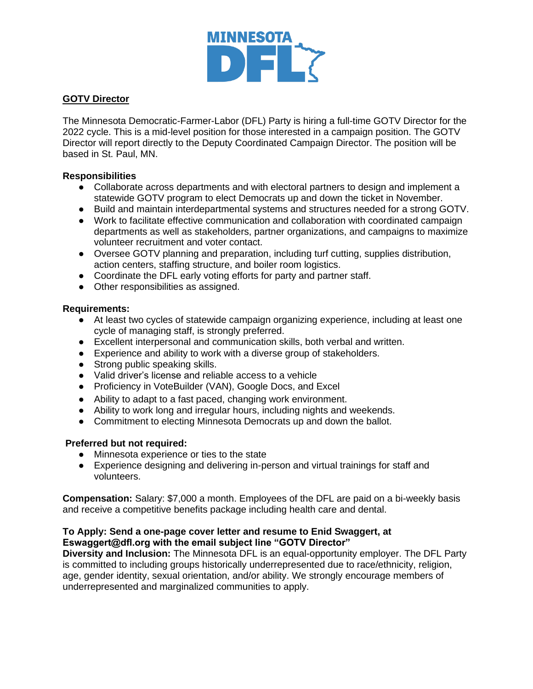

# **GOTV Director**

The Minnesota Democratic-Farmer-Labor (DFL) Party is hiring a full-time GOTV Director for the 2022 cycle. This is a mid-level position for those interested in a campaign position. The GOTV Director will report directly to the Deputy Coordinated Campaign Director. The position will be based in St. Paul, MN.

# **Responsibilities**

- Collaborate across departments and with electoral partners to design and implement a statewide GOTV program to elect Democrats up and down the ticket in November.
- Build and maintain interdepartmental systems and structures needed for a strong GOTV.
- Work to facilitate effective communication and collaboration with coordinated campaign departments as well as stakeholders, partner organizations, and campaigns to maximize volunteer recruitment and voter contact.
- Oversee GOTV planning and preparation, including turf cutting, supplies distribution, action centers, staffing structure, and boiler room logistics.
- Coordinate the DFL early voting efforts for party and partner staff.
- Other responsibilities as assigned.

# **Requirements:**

- At least two cycles of statewide campaign organizing experience, including at least one cycle of managing staff, is strongly preferred.
- Excellent interpersonal and communication skills, both verbal and written.
- Experience and ability to work with a diverse group of stakeholders.
- Strong public speaking skills.
- Valid driver's license and reliable access to a vehicle
- Proficiency in VoteBuilder (VAN), Google Docs, and Excel
- Ability to adapt to a fast paced, changing work environment.
- Ability to work long and irregular hours, including nights and weekends.
- Commitment to electing Minnesota Democrats up and down the ballot.

### **Preferred but not required:**

- Minnesota experience or ties to the state
- Experience designing and delivering in-person and virtual trainings for staff and volunteers.

**Compensation:** Salary: \$7,000 a month. Employees of the DFL are paid on a bi-weekly basis and receive a competitive benefits package including health care and dental.

# **To Apply: Send a one-page cover letter and resume to Enid Swaggert, at Eswaggert@dfl.org with the email subject line "GOTV Director"**

**Diversity and Inclusion:** The Minnesota DFL is an equal-opportunity employer. The DFL Party is committed to including groups historically underrepresented due to race/ethnicity, religion, age, gender identity, sexual orientation, and/or ability. We strongly encourage members of underrepresented and marginalized communities to apply.